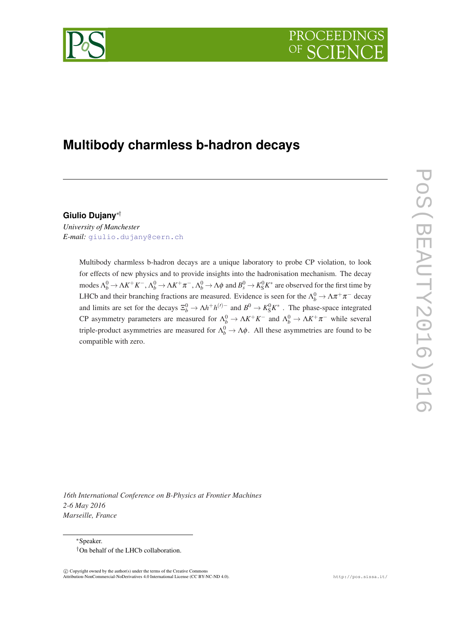

# **Multibody charmless b-hadron decays**

**Giulio Dujany**∗†

*University of Manchester E-mail:* [giulio.dujany@cern.ch](mailto:giulio.dujany@cern.ch)

> Multibody charmless b-hadron decays are a unique laboratory to probe CP violation, to look for effects of new physics and to provide insights into the hadronisation mechanism. The decay  $\phi$  modes  $Λ_b^0 → ΛK^+K^-, Λ_b^0 → ΛK^+π^-, Λ_b^0 → Λφ$  and  $B_s^0 → K_S^0K^*$  are observed for the first time by LHCb and their branching fractions are measured. Evidence is seen for the  $\Lambda_b^0 \to \Lambda \pi^+ \pi^-$  decay and limits are set for the decays  $\Xi_b^0 \to \Lambda h^+ h^{(\prime)-}$  and  $B^0 \to K_S^0 K^*$ . The phase-space integrated CP asymmetry parameters are measured for  $\Lambda_b^0 \to \Lambda K^+ K^-$  and  $\Lambda_b^0 \to \Lambda K^+ \pi^-$  while several triple-product asymmetries are measured for  $\Lambda_b^0 \to \Lambda \phi$ . All these asymmetries are found to be compatible with zero.

*16th International Conference on B-Physics at Frontier Machines 2-6 May 2016 Marseille, France*

<sup>∗</sup>Speaker. †On behalf of the LHCb collaboration.

 $\overline{c}$  Copyright owned by the author(s) under the terms of the Creative Common Attribution-NonCommercial-NoDerivatives 4.0 International License (CC BY-NC-ND 4.0). http://pos.sissa.it/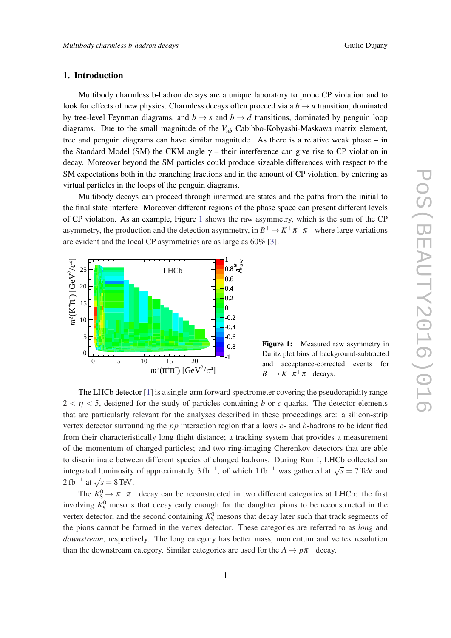## 1. Introduction

Multibody charmless b-hadron decays are a unique laboratory to probe CP violation and to look for effects of new physics. Charmless decays often proceed via a  $b \rightarrow u$  transition, dominated by tree-level Feynman diagrams, and  $b \rightarrow s$  and  $b \rightarrow d$  transitions, dominated by penguin loop diagrams. Due to the small magnitude of the *Vub* Cabibbo-Kobyashi-Maskawa matrix element, tree and penguin diagrams can have similar magnitude. As there is a relative weak phase – in the Standard Model (SM) the CKM angle  $\gamma$  – their interference can give rise to CP violation in decay. Moreover beyond the SM particles could produce sizeable differences with respect to the SM expectations both in the branching fractions and in the amount of CP violation, by entering as virtual particles in the loops of the penguin diagrams.

Multibody decays can proceed through intermediate states and the paths from the initial to the final state interfere. Moreover different regions of the phase space can present different levels of CP violation. As an example, Figure 1 shows the raw asymmetry, which is the sum of the CP asymmetry, the production and the detection asymmetry, in  $B^+ \to K^+ \pi^+ \pi^-$  where large variations are evident and the local CP asymmetries are as large as 60% [[3](#page-6-0)].



Figure 1: Measured raw asymmetry in Dalitz plot bins of background-subtracted and acceptance-corrected events for  $B^+ \to K^+ \pi^+ \pi^-$  decays.

The LHCb detector [\[1\]](#page-6-0) is a single-arm forward spectrometer covering the pseudorapidity range  $2 < \eta < 5$ , designed for the study of particles containing *b* or *c* quarks. The detector elements that are particularly relevant for the analyses described in these proceedings are: a silicon-strip vertex detector surrounding the *pp* interaction region that allows *c*- and *b*-hadrons to be identified from their characteristically long flight distance; a tracking system that provides a measurement of the momentum of charged particles; and two ring-imaging Cherenkov detectors that are able to discriminate between different species of charged hadrons. During Run I, LHCb collected an integrated luminosity of approximately 3 fb<sup>-1</sup>, of which 1 fb<sup>-1</sup> was gathered at  $\sqrt{s} = 7$  TeV and 2 fb<sup>-1</sup> at  $\sqrt{s}$  = 8 TeV.

The  $K_S^0 \to \pi^+ \pi^-$  decay can be reconstructed in two different categories at LHCb: the first involving  $K_S^0$  mesons that decay early enough for the daughter pions to be reconstructed in the vertex detector, and the second containing  $K_S^0$  mesons that decay later such that track segments of the pions cannot be formed in the vertex detector. These categories are referred to as *long* and *downstream*, respectively. The long category has better mass, momentum and vertex resolution than the downstream category. Similar categories are used for the  $\Lambda \to p\pi^-$  decay.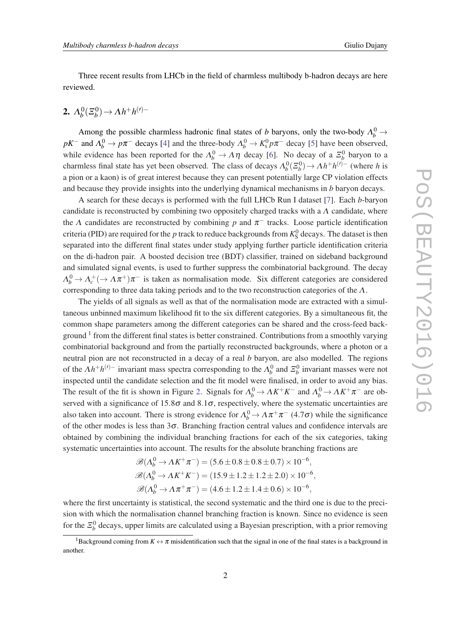Three recent results from LHCb in the field of charmless multibody b-hadron decays are here reviewed.

#### 2.  $\Lambda_b^0$  $\frac{0}{b}$ ( $\Xi_b^0$  $\lambda_b^{(0)}$  →  $\Lambda h^+ h^{(0)-}$

Among the possible charmless hadronic final states of *b* baryons, only the two-body  $\Lambda_b^0 \rightarrow$ *pK*<sup>−</sup> and  $\Lambda_b^0 \to p\pi^-$  decays [\[4\]](#page-6-0) and the three-body  $\Lambda_b^0 \to K_s^0 p\pi^-$  decay [\[5\]](#page-6-0) have been observed, while evidence has been reported for the  $\Lambda_b^0 \to \Lambda \eta$  decay [\[6\]](#page-6-0). No decay of a  $\Xi_b^0$  baryon to a charmless final state has yet been observed. The class of decays  $\Lambda_b^0(\Xi_b^0) \to \Lambda h^+ h^{(\prime)-}$  (where *h* is a pion or a kaon) is of great interest because they can present potentially large CP violation effects and because they provide insights into the underlying dynamical mechanisms in *b* baryon decays.

A search for these decays is performed with the full LHCb Run I dataset [\[7\]](#page-6-0). Each *b*-baryon candidate is reconstructed by combining two oppositely charged tracks with a  $\Lambda$  candidate, where the  $\Lambda$  candidates are reconstructed by combining  $p$  and  $\pi^-$  tracks. Loose particle identification criteria (PID) are required for the *p* track to reduce backgrounds from  $K_S^0$  decays. The dataset is then separated into the different final states under study applying further particle identification criteria on the di-hadron pair. A boosted decision tree (BDT) classifier, trained on sideband background and simulated signal events, is used to further suppress the combinatorial background. The decay  $\Lambda_b^0 \to \Lambda_c^+ (\to \Lambda \pi^+) \pi^-$  is taken as normalisation mode. Six different categories are considered corresponding to three data taking periods and to the two reconstruction categories of the Λ.

The yields of all signals as well as that of the normalisation mode are extracted with a simultaneous unbinned maximum likelihood fit to the six different categories. By a simultaneous fit, the common shape parameters among the different categories can be shared and the cross-feed background <sup>1</sup> from the different final states is better constrained. Contributions from a smoothly varying combinatorial background and from the partially reconstructed backgrounds, where a photon or a neutral pion are not reconstructed in a decay of a real *b* baryon, are also modelled. The regions of the  $\Lambda h^+h^{(\prime)-}$  invariant mass spectra corresponding to the  $\Lambda_b^0$  and  $\Xi_b^0$  invariant masses were not inspected until the candidate selection and the fit model were finalised, in order to avoid any bias. The result of the fit is shown in Figure [2](#page-3-0). Signals for  $\Lambda_b^0 \to \Lambda K^+ K^-$  and  $\Lambda_b^0 \to \Lambda K^+ \pi^-$  are observed with a significance of  $15.8\sigma$  and  $8.1\sigma$ , respectively, where the systematic uncertainties are also taken into account. There is strong evidence for  $\Lambda_b^0 \to \Lambda \pi^+ \pi^-$  (4.7 $\sigma$ ) while the significance of the other modes is less than  $3\sigma$ . Branching fraction central values and confidence intervals are obtained by combining the individual branching fractions for each of the six categories, taking systematic uncertainties into account. The results for the absolute branching fractions are

$$
\mathcal{B}(\Lambda_b^0 \to \Lambda K^+ \pi^-) = (5.6 \pm 0.8 \pm 0.8 \pm 0.7) \times 10^{-6},
$$
  

$$
\mathcal{B}(\Lambda_b^0 \to \Lambda K^+ K^-) = (15.9 \pm 1.2 \pm 1.2 \pm 2.0) \times 10^{-6},
$$
  

$$
\mathcal{B}(\Lambda_b^0 \to \Lambda \pi^+ \pi^-) = (4.6 \pm 1.2 \pm 1.4 \pm 0.6) \times 10^{-6},
$$

where the first uncertainty is statistical, the second systematic and the third one is due to the precision with which the normalisation channel branching fraction is known. Since no evidence is seen for the  $\mathcal{Z}_b^0$  decays, upper limits are calculated using a Bayesian prescription, with a prior removing

<sup>&</sup>lt;sup>1</sup>Background coming from  $K \leftrightarrow \pi$  misidentification such that the signal in one of the final states is a background in another.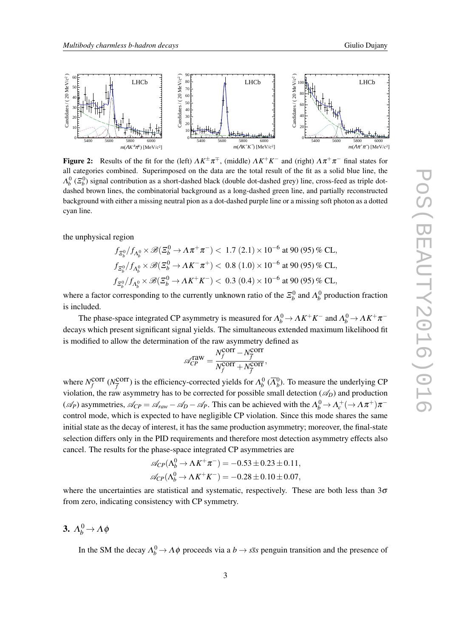<span id="page-3-0"></span>

**Figure 2:** Results of the fit for the (left)  $\Lambda K^{\pm} \pi^{\mp}$ , (middle)  $\Lambda K^+ K^-$  and (right)  $\Lambda \pi^+ \pi^-$  final states for all categories combined. Superimposed on the data are the total result of the fit as a solid blue line, the  $\Lambda_b^0$  ( $\Xi_b^0$ ) signal contribution as a short-dashed black (double dot-dashed grey) line, cross-feed as triple dotdashed brown lines, the combinatorial background as a long-dashed green line, and partially reconstructed background with either a missing neutral pion as a dot-dashed purple line or a missing soft photon as a dotted cyan line.

the unphysical region

$$
f_{\Xi_b^0}/f_{\Lambda_b^0} \times \mathscr{B}(\Xi_b^0 \to \Lambda \pi^+ \pi^-) < 1.7 (2.1) \times 10^{-6} \text{ at } 90 (95) \% \text{ CL},
$$
  
\n
$$
f_{\Xi_b^0}/f_{\Lambda_b^0} \times \mathscr{B}(\Xi_b^0 \to \Lambda K^- \pi^+) < 0.8 (1.0) \times 10^{-6} \text{ at } 90 (95) \% \text{ CL},
$$
  
\n
$$
f_{\Xi_b^0}/f_{\Lambda_b^0} \times \mathscr{B}(\Xi_b^0 \to \Lambda K^+ K^-) < 0.3 (0.4) \times 10^{-6} \text{ at } 90 (95) \% \text{ CL},
$$

where a factor corresponding to the currently unknown ratio of the  $\mathcal{Z}_b^0$  and  $\Lambda_b^0$  production fraction is included.

The phase-space integrated CP asymmetry is measured for  $\Lambda_b^0 \to \Lambda K^+ K^-$  and  $\Lambda_b^0 \to \Lambda K^+ \pi^$ decays which present significant signal yields. The simultaneous extended maximum likelihood fit is modified to allow the determination of the raw asymmetry defined as

$$
\mathcal{A}_{CP}^{\text{raw}} = \frac{N_f^{\text{corr}} - N_{\overline{f}}^{\text{corr}}}{N_f^{\text{corr}} + N_{\overline{f}}^{\text{corr}}},
$$

where  $N_f^{\text{corr}}$  ( $N_{\overline{f}}^{\text{corr}}$ ) is the efficiency-corrected yields for  $\Lambda_b^0$  ( $\overline{\Lambda}_b^0$ ). To measure the underlying CP violation, the raw asymmetry has to be corrected for possible small detection  $(\mathscr{A}_D)$  and production  $(\mathscr{A}_P)$  asymmetries,  $\mathscr{A}_{CP} = \mathscr{A}_{raw} - \mathscr{A}_D - \mathscr{A}_P$ . This can be achieved with the  $\Lambda_b^0 \to \Lambda_c^+ (\to \Lambda \pi^+) \pi^$ control mode, which is expected to have negligible CP violation. Since this mode shares the same initial state as the decay of interest, it has the same production asymmetry; moreover, the final-state selection differs only in the PID requirements and therefore most detection asymmetry effects also cancel. The results for the phase-space integrated CP asymmetries are

$$
\mathcal{A}_{CP}(\Lambda_b^0 \to \Lambda K^+ \pi^-) = -0.53 \pm 0.23 \pm 0.11,
$$
  

$$
\mathcal{A}_{CP}(\Lambda_b^0 \to \Lambda K^+ K^-) = -0.28 \pm 0.10 \pm 0.07,
$$

where the uncertainties are statistical and systematic, respectively. These are both less than  $3\sigma$ from zero, indicating consistency with CP symmetry.

## 3.  $\Lambda_b^0 \rightarrow \Lambda \phi$

In the SM the decay  $\Lambda_b^0 \to \Lambda \phi$  proceeds via a  $b \to s\bar{s}s$  penguin transition and the presence of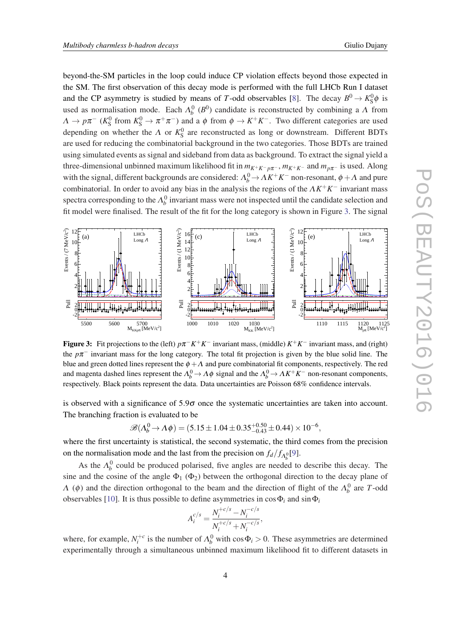beyond-the-SM particles in the loop could induce CP violation effects beyond those expected in the SM. The first observation of this decay mode is performed with the full LHCb Run I dataset and the CP asymmetry is studied by means of *T*-odd observables [[8](#page-6-0)]. The decay  $B^0 \to K_S^0 \phi$  is used as normalisation mode. Each  $\Lambda_b^0$  ( $B^0$ ) candidate is reconstructed by combining a  $\Lambda$  from  $\Lambda \to p\pi^-$  ( $K^0_S$  from  $K^0_S \to \pi^+\pi^-$ ) and a  $\phi$  from  $\phi \to K^+K^-$ . Two different categories are used depending on whether the  $\Lambda$  or  $K_S^0$  are reconstructed as long or downstream. Different BDTs are used for reducing the combinatorial background in the two categories. Those BDTs are trained using simulated events as signal and sideband from data as background. To extract the signal yield a three-dimensional unbinned maximum likelihood fit in  $m_{K^+K^- p\pi^-}$ ,  $m_{K^+K^-}$  and  $m_{p\pi^-}$  is used. Along with the signal, different backgrounds are considered:  $\Lambda_b^0$   $\to$   $\Lambda K^+K^-$  non-resonant,  $\phi$   $\to$   $\Lambda$  and pure combinatorial. In order to avoid any bias in the analysis the regions of the Λ*K* <sup>+</sup>*K* <sup>−</sup> invariant mass spectra corresponding to the  $\Lambda_b^0$  invariant mass were not inspected until the candidate selection and fit model were finalised. The result of the fit for the long category is shown in Figure 3. The signal



Figure 3: Fit projections to the (left)  $p\pi^- K^+ K^-$  invariant mass, (middle)  $K^+ K^-$  invariant mass, and (right) the  $p\pi$ <sup>-</sup> invariant mass for the long category. The total fit projection is given by the blue solid line. The blue and green dotted lines represent the  $\phi + \Lambda$  and pure combinatorial fit components, respectively. The red and magenta dashed lines represent the  $\Lambda_b^0 \to \Lambda \phi$  signal and the  $\Lambda_b^0 \to \Lambda K^+K^-$  non-resonant components, respectively. Black points represent the data. Data uncertainties are Poisson 68% confidence intervals.

is observed with a significance of  $5.9\sigma$  once the systematic uncertainties are taken into account. The branching fraction is evaluated to be

$$
\mathcal{B}(\Lambda_b^0 \to \Lambda \phi) = (5.15 \pm 1.04 \pm 0.35^{+0.50}_{-0.43} \pm 0.44) \times 10^{-6},
$$

where the first uncertainty is statistical, the second systematic, the third comes from the precision on the normalisation mode and the last from the precision on  $f_d/f_{\Lambda_b^0}[9]$  $f_d/f_{\Lambda_b^0}[9]$ .

As the  $\Lambda_b^0$  could be produced polarised, five angles are needed to describe this decay. The sine and the cosine of the angle  $\Phi_1$  ( $\Phi_2$ ) between the orthogonal direction to the decay plane of  $Λ$  (φ) and the direction orthogonal to the beam and the direction of flight of the  $Λ<sup>0</sup><sub>b</sub>$  are *T*-odd observables [[10\]](#page-6-0). It is thus possible to define asymmetries in  $\cos \Phi_i$  and  $\sin \Phi_i$ 

$$
A_i^{c/s} = \frac{N_i^{+c/s} - N_i^{-c/s}}{N_i^{+c/s} + N_i^{-c/s}},
$$

where, for example,  $N_i^{+c}$  is the number of  $\Lambda_b^0$  with  $\cos \Phi_i > 0$ . These asymmetries are determined experimentally through a simultaneous unbinned maximum likelihood fit to different datasets in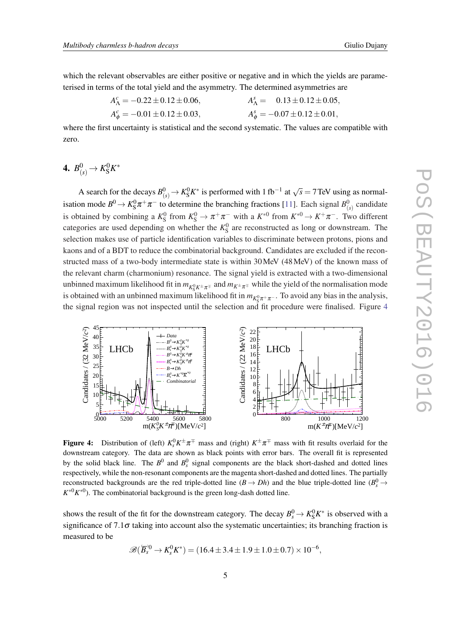which the relevant observables are either positive or negative and in which the yields are parameterised in terms of the total yield and the asymmetry. The determined asymmetries are

$$
A_{\Lambda}^{c} = -0.22 \pm 0.12 \pm 0.06,
$$
  
\n
$$
A_{\phi}^{c} = -0.01 \pm 0.12 \pm 0.03,
$$
  
\n
$$
A_{\phi}^{s} = -0.07 \pm 0.12 \pm 0.01,
$$
  
\n
$$
A_{\phi}^{s} = -0.07 \pm 0.12 \pm 0.01,
$$

where the first uncertainty is statistical and the second systematic. The values are compatible with zero.

## 4.  $B^0_{(s)} \to K^0_{\rm S} K^*$

A search for the decays  $B^0_{(s)} \to K^0_S K^*$  is performed with 1 fb<sup>-1</sup> at  $\sqrt{s} = 7$  TeV using as normalisation mode  $B^0 \to K_S^0 \pi^+ \pi^-$  to determine the branching fractions [\[11\]](#page-6-0). Each signal  $B^0_{(s)}$  candidate is obtained by combining a  $K_S^0$  from  $K_S^0 \to \pi^+\pi^-$  with a  $K^{*0}$  from  $K^{*0} \to K^+\pi^-$ . Two different categories are used depending on whether the  $K_S^0$  are reconstructed as long or downstream. The selection makes use of particle identification variables to discriminate between protons, pions and kaons and of a BDT to reduce the combinatorial background. Candidates are excluded if the reconstructed mass of a two-body intermediate state is within 30MeV (48MeV) of the known mass of the relevant charm (charmonium) resonance. The signal yield is extracted with a two-dimensional unbinned maximum likelihood fit in  $m_{K^0_S K^{\pm} \pi^{\mp}}$  and  $m_{K^{\pm} \pi^{\mp}}$  while the yield of the normalisation mode is obtained with an unbinned maximum likelihood fit in  $m_{K^0_S \pi^+ \pi^-}$ . To avoid any bias in the analysis, the signal region was not inspected until the selection and fit procedure were finalised. Figure 4



Figure 4: Distribution of (left)  $K_s^0 K^{\pm} \pi^{\mp}$  mass and (right)  $K^{\pm} \pi^{\mp}$  mass with fit results overlaid for the downstream category. The data are shown as black points with error bars. The overall fit is represented by the solid black line. The  $B^0$  and  $B_s^0$  signal components are the black short-dashed and dotted lines respectively, while the non-resonant components are the magenta short-dashed and dotted lines. The partially reconstructed backgrounds are the red triple-dotted line  $(B \to Dh)$  and the blue triple-dotted line  $(B_s^0 \to$  $K^{*0}K^{*0}$ ). The combinatorial background is the green long-dash dotted line.

shows the result of the fit for the downstream category. The decay  $B_s^0 \to K_S^0 K^*$  is observed with a significance of 7.1 $\sigma$  taking into account also the systematic uncertainties; its branching fraction is measured to be

$$
\mathscr{B}(\overline{B}_s^{0} \to K_s^0 K^*) = (16.4 \pm 3.4 \pm 1.9 \pm 1.0 \pm 0.7) \times 10^{-6},
$$